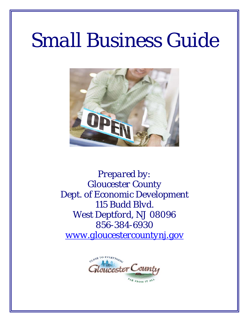# *Small Business Guide*



*Prepared by: Gloucester County Dept. of Economic Development 115 Budd Blvd. West Deptford, NJ 08096 856-384-6930 www.gloucestercountynj.gov*

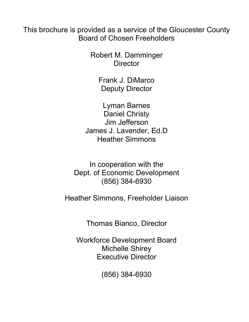This brochure is provided as a service of the Gloucester County Board of Chosen Freeholders

> Robert M. Damminger **Director**

> > Frank J. DiMarco Deputy Director

Lyman Barnes Daniel Christy Jim Jefferson James J. Lavender, Ed.D Heather Simmons

In cooperation with the Dept. of Economic Development (856) 384-6930

Heather Simmons, Freeholder Liaison

Thomas Bianco, Director

Workforce Development Board Michelle Shirey Executive Director

(856) 384-6930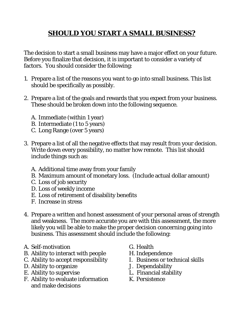# **SHOULD YOU START A SMALL BUSINESS?**

The decision to start a small business may have a major effect on your future. Before you finalize that decision, it is important to consider a variety of factors. You should consider the following:

- 1. Prepare a list of the reasons you want to go into small business. This list should be specifically as possibly.
- 2. Prepare a list of the goals and rewards that you expect from your business. These should be broken down into the following sequence.
	- A. Immediate (within 1 year)
	- B. Intermediate (1 to 5 years)
	- C. Long Range (over 5 years)
- 3. Prepare a list of all the negative effects that may result from your decision. Write down every possibility, no matter how remote. This list should include things such as:
	- A. Additional time away from your family
	- B. Maximum amount of monetary loss. (Include actual dollar amount)
	- C. Loss of job security
	- D. Loss of weekly income
	- E. Loss of retirement of disability benefits
	- F. Increase in stress
- 4. Prepare a written and honest assessment of your personal areas of strength and weakness. The more accurate you are with this assessment, the more likely you will be able to make the proper decision concerning going into business. This assessment should include the following:
- A. Self-motivation
- B. Ability to interact with people
- C. Ability to accept responsibility
- D. Ability to organize
- E. Ability to supervise
- F. Ability to evaluate information and make decisions
- G. Health
- H. Independence
- I. Business or technical skills
- J. Dependability
- L. Financial stability
- K. Persistence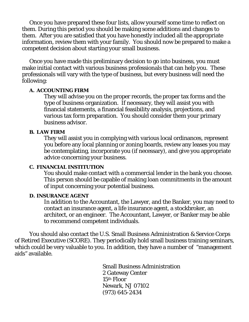Once you have prepared these four lists, allow yourself some time to reflect on them. During this period you should be making some additions and changes to them. After you are satisfied that you have honestly included all the appropriate information, review them with your family. You should now be prepared to make a competent decision about starting your small business.

 Once you have made this preliminary decision to go into business, you must make initial contact with various business professionals that can help you. These professionals will vary with the type of business, but every business will need the following:

### **A. ACCOUNTING FIRM**

They will advise you on the proper records, the proper tax forms and the type of business organization. If necessary, they will assist you with financial statements, a financial feasibility analysis, projections, and various tax form preparation. You should consider them your primary business advisor.

### **B. LAW FIRM**

They will assist you in complying with various local ordinances, represent you before any local planning or zoning boards, review any leases you may be contemplating, incorporate you (if necessary), and give you appropriate advice concerning your business.

### **C. FINANCIAL INSTITUTION**

You should make contact with a commercial lender in the bank you choose. This person should be capable of making loan commitments in the amount of input concerning your potential business.

### **D. INSURANCE AGENT**

In addition to the Accountant, the Lawyer, and the Banker, you may need to contact an insurance agent, a life insurance agent, a stockbroker, an architect, or an engineer. The Accountant, Lawyer, or Banker may be able to recommend competent individuals.

You should also contact the U.S. Small Business Administration & Service Corps of Retired Executive (SCORE). They periodically hold small business training seminars, which could be very valuable to you. In addition, they have a number of "management" aids" available.

> Small Business Administration 2 Gateway Center 15th Floor Newark, NJ 07102 (973) 645-2434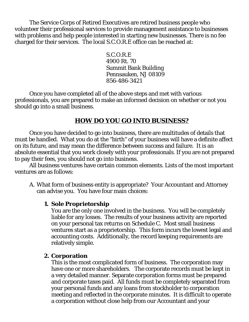The Service Corps of Retired Executives are retired business people who volunteer their professional services to provide management assistance to businesses with problems and help people interested in starting new businesses. There is no fee charged for their services. The local S.C.O.R.E office can be reached at:

> S.C.O.R.E 4900 Rt. 70 Summit Bank Building Pennsauken, NJ 08109 856-486-3421

Once you have completed all of the above steps and met with various professionals, you are prepared to make an informed decision on whether or not you should go into a small business.

# **HOW DO YOU GO INTO BUSINESS?**

Once you have decided to go into business, there are multitudes of details that must be handled. What you do at the "birth" of your business will have a definite affect on its future, and may mean the difference between success and failure. It is an absolute essential that you work closely with your professionals. If you are not prepared to pay their fees, you should not go into business.

All business ventures have certain common elements. Lists of the most important ventures are as follows:

A. What form of business entity is appropriate? Your Accountant and Attorney can advise you. You have four main choices:

# **1. Sole Proprietorship**

You are the only one involved in the business. You will be completely liable for any losses. The results of your business activity are reported on your personal tax returns on Schedule C. Most small business ventures start as a proprietorship. This form incurs the lowest legal and accounting costs. Additionally, the record keeping requirements are relatively simple.

### **2. Corporation**

This is the most complicated form of business. The corporation may have one or more shareholders. The corporate records must be kept in a very detailed manner. Separate corporation forms must be prepared and corporate taxes paid. All funds must be completely separated from your personal funds and any loans from stockholder to corporation meeting and reflected in the corporate minutes. It is difficult to operate a corporation without close help from our Accountant and your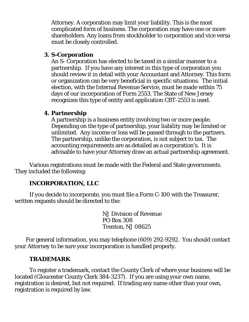Attorney. A corporation may limit your liability. This is the most complicated form of business. The corporation may have one or more shareholders. Any loans from stockholder to corporation and vice versa must be closely controlled.

## **3. S-Corporation**

An S- Corporation has elected to be taxed in a similar manner to a partnership. If you have any interest in this type of corporation you should review it in detail with your Accountant and Attorney. This form or organization can be very beneficial in specific situations. The initial election, with the Internal Revenue Service, must be made within 75 days of our incorporation of Form 2553. The State of New Jersey recognizes this type of entity and application CBT-2553 is used.

# **4. Partnership**

A partnership is a business entity involving two or more people. Depending on the type of partnership, your liability may be limited or unlimited. Any income or loss will be passed through to the partners. The partnership, unlike the corporation, is not subject to tax. The accounting requirements are as detailed as a corporation's. It is advisable to have your Attorney draw an actual partnership agreement.

Various registrations must be made with the Federal and State governments. They included the following:

# **INCORPORATION, LLC**

If you decide to incorporate, you must file a Form C-100 with the Treasurer, written requests should be directed to the:

> NJ Division of Revenue PO Box 308 Trenton, NJ 08625

For general information, you may telephone (609) 292-9292. You should contact your Attorney to be sure your incorporation is handled properly.

# **TRADEMARK**

To register a trademark, contact the County Clerk of where your business will be located (Gloucester County Clerk 384-3237). If you are using your own name, registration is desired, but not required. If trading any name other than your own, registration is required by law.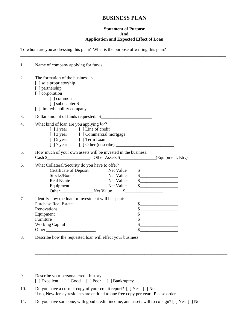# **BUSINESS PLAN**

### **Statement of Purpose And Application and Expected Effect of Loan**

\_\_\_\_\_\_\_\_\_\_\_\_\_\_\_\_\_\_\_\_\_\_\_\_\_\_\_\_\_\_\_\_\_\_\_\_\_\_\_\_\_\_\_\_\_\_\_\_\_\_\_\_\_\_\_\_\_\_\_\_\_\_\_\_\_\_\_\_\_\_\_\_\_\_\_\_\_\_\_\_\_\_\_\_\_\_\_\_\_\_\_\_

To whom are you addressing this plan? What is the purpose of writing this plan?

| Name of company applying for funds.                                                                                                                                               |                                           |                        |                                                                                                                                                                                                                                                                                                                                                                                                                                                                                                                                                                                                                                                                                      |  |
|-----------------------------------------------------------------------------------------------------------------------------------------------------------------------------------|-------------------------------------------|------------------------|--------------------------------------------------------------------------------------------------------------------------------------------------------------------------------------------------------------------------------------------------------------------------------------------------------------------------------------------------------------------------------------------------------------------------------------------------------------------------------------------------------------------------------------------------------------------------------------------------------------------------------------------------------------------------------------|--|
| The formation of the business is.<br>[ ] sole proprietorship<br>[ ] partnership<br>[ ] corporation<br>[ ] common<br>[ ] subchapter S<br>[ ] limited liability company             |                                           |                        |                                                                                                                                                                                                                                                                                                                                                                                                                                                                                                                                                                                                                                                                                      |  |
| Dollar amount of funds requested. \$                                                                                                                                              |                                           |                        |                                                                                                                                                                                                                                                                                                                                                                                                                                                                                                                                                                                                                                                                                      |  |
| What kind of loan are you applying for?<br>[ ] 1 year [ ] Line of credit<br>[ ] 3 year [ ] Commercial mortgage<br>[ ] 5 year [ ] Term Loan                                        |                                           |                        |                                                                                                                                                                                                                                                                                                                                                                                                                                                                                                                                                                                                                                                                                      |  |
| How much of your own assets will be invested in the business:                                                                                                                     |                                           |                        |                                                                                                                                                                                                                                                                                                                                                                                                                                                                                                                                                                                                                                                                                      |  |
| What Collateral/Security do you have to offer?<br>Certificate of Deposit Net Value<br>Stocks/Bonds<br><b>Real Estate</b><br>Equipment<br>Other__________________________Net Value | Net Value<br>Net Value<br>Net Value<br>\$ |                        | $\begin{array}{c c} \n\multicolumn{3}{c }{\textbf{\textcolor{red}{\bf\textcolor{green}{\bf\textcolor{green}{\bf\textcolor{green}{\bf\textcolor{green}{\bf\textcolor{green}{\bf\textcolor{green}{\bf\textcolor{green}{\bf\textcolor{green}{\bf\textcolor{green}{\bf\textcolor{blue}{\bf\textcolor{green}{\bf\textcolor{blue}{\bf\textcolor{blue}{\bf\textcolor{blue}{\bf\textcolor{blue}{\bf\textcolor{blue}{\bf\textcolor{blue}{\bf\textcolor{blue}{\bf\textcolor{blue}{\bf\textcolor{blue}{\bf\textcolor{blue}{\bf\textcolor{blue}{\bf\textcolor{blue}{\bf\textcolor{$<br>$\frac{1}{2}$<br>$\begin{array}{c c} \n\multicolumn{3}{c }{\textbf{\textcolor{red}{\bf S}}}\n\end{array}$ |  |
| Identify how the loan or investment will be spent:<br><b>Purchase Real Estate</b><br>Renovations<br>Equipment<br>Furniture<br><b>Working Capital</b>                              |                                           | \$<br>\$.<br>\$.<br>\$ |                                                                                                                                                                                                                                                                                                                                                                                                                                                                                                                                                                                                                                                                                      |  |
| Describe how the requested loan will effect your business.                                                                                                                        |                                           |                        |                                                                                                                                                                                                                                                                                                                                                                                                                                                                                                                                                                                                                                                                                      |  |
|                                                                                                                                                                                   |                                           |                        |                                                                                                                                                                                                                                                                                                                                                                                                                                                                                                                                                                                                                                                                                      |  |
| Describe your personal credit history:                                                                                                                                            |                                           |                        |                                                                                                                                                                                                                                                                                                                                                                                                                                                                                                                                                                                                                                                                                      |  |
| [ ] Excellent [ ] Good [ ] Poor                                                                                                                                                   | [ ] Bankruptcy                            |                        |                                                                                                                                                                                                                                                                                                                                                                                                                                                                                                                                                                                                                                                                                      |  |
| Do you have a current copy of your credit report? $\lceil \cdot \rceil$ Yes $\lceil \cdot \rceil$ No                                                                              |                                           |                        |                                                                                                                                                                                                                                                                                                                                                                                                                                                                                                                                                                                                                                                                                      |  |

11. Do you have someone, with good credit, income, and assets will to co-sign? [ ] Yes [ ] No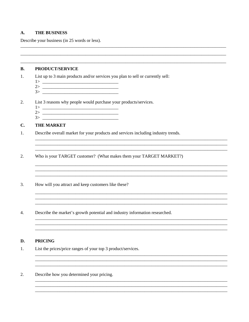#### $\mathbf{A}$ . **THE BUSINESS**

Describe your business (in 25 words or less).

#### **B. PRODUCT/SERVICE**

 $1.$ List up to 3 main products and/or services you plan to sell or currently sell:

- 
- 

#### $\overline{2}$ . List 3 reasons why people would purchase your products/services.

- 
- $3>$
- 

#### $C_{\bullet}$ **THE MARKET**

 $1.$ Describe overall market for your products and services including industry trends.

- Who is your TARGET customer? (What makes them your TARGET MARKET?) 2.
- $3.$ How will you attract and keep customers like these?
- Describe the market's growth potential and industry information researched.  $\overline{4}$ .

#### **PRICING** D.

- $1.$ List the prices/price ranges of your top 3 product/services.
- 2. Describe how you determined your pricing.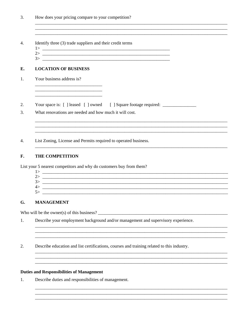- Identify three (3) trade suppliers and their credit terms  $\overline{4}$ .
	- $\frac{1}{2}$
	- $3\overline{ }$

#### E. **LOCATION OF BUSINESS**

- $1.$ Your business address is?
- Your space is: [ ] leased [ ] owned [ ] Square footage required: 2.
- 3. What renovations are needed and how much it will cost.

 $\overline{4}$ . List Zoning, License and Permits required to operated business.

#### F. THE COMPETITION

List your 5 nearest competitors and why do customers buy from them?

| . .            |  |
|----------------|--|
| 22             |  |
| -K.            |  |
| 4>             |  |
| 5 <sub>z</sub> |  |
|                |  |

#### **MANAGEMENT** G.

Who will be the owner(s) of this business?

- Describe your employment background and/or management and supervisory experience. 1.
- 2. Describe education and list certifications, courses and training related to this industry.

### **Duties and Responsibilities of Management**

1. Describe duties and responsibilities of management.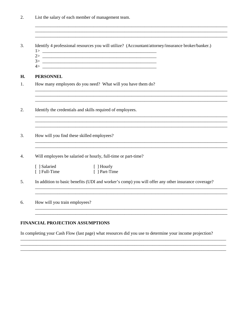| 2. |  | List the salary of each member of management team. |  |
|----|--|----------------------------------------------------|--|
|    |  |                                                    |  |

 $\overline{3}$ . Identify 4 professional resources you will utilize? (Accountant/attorney/insurance broker/banker.) H. **PERSONNEL**  $1.$ How many employees do you need? What will you have them do? 2. Identify the credentials and skills required of employees.  $\overline{3}$ . How will you find these skilled employees? Will employees be salaried or hourly, full-time or part-time?  $4.$ [ ] Salaried [ ] Hourly [ ] Part-Time  $\lceil$  ] Full-Time  $5<sub>1</sub>$ In addition to basic benefits (UDI and worker's comp) you will offer any other insurance coverage? 6. How will you train employees? 

### **FINANCIAL PROJECTION ASSUMPTIONS**

In completing your Cash Flow (last page) what resources did you use to determine your income projection?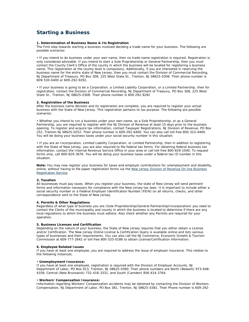### **Starting a Business**

#### **1. Determination of Business Name & Its Registration**

The First step towards starting a business involved deciding a trade name for your business. The following are possible scenarios:

• If you intend to do business under your own name, then no trade name registration is required. Registration is only considered advisable. If you intend to start a Sole Proprietorship or General Partnership, then you must contact the County Clerk's Office of the county in which the business will be located for registering a business name. This registration at the county level is compulsory. Additionally, if you are interested in reserving the business name for the entire state of New Jersey, then you must contact the Division of Commercial Recording, NJ Department of Treasury, PO Box 308, 225 West State St., Trenton, NJ 08625-0308. Their phone number is 609-530-6400 or 609-292-9292.

• If your business is going to be a Corporation, a Limited Liability Corporation, or a Limited Partnership, then for registration, contact the Division of Commercial Recording, NJ Department of Treasury, PO Box 308, 225 West State St., Trenton, NJ 08625-0308. Their phone number is 609-292-9292

#### **2. Registration of the Business**

After the business name decision and its registration are complete, you are required to register your actual business with the State of New Jersey. This registration pertains to tax purpose. The following are possible scenarios:

• Whether you intend to run a business under your own name, as a Sole Proprietorship, or as a General Partnership, you are required to register with the NJ Division of Revenue at least 15 days prior to the business opening. To register and acquire tax information, contact Taxpayer Registrations, NJ Division of Revenue, PO Box 252, Trenton NJ 08625-0252. Their phone number is 609-292-6400. You can also call toll free 800-323-4400. You will be doing your business taxes under your social security number in this situation.

• If you are an Incorporation, Limited Liability Corporation, or Limited Partnership, then in addition to registering with the State of New Jersey, you are also required to file federal tax forms. For obtaining federal business tax information, contact the Internal Revenue Service Office in your area or call toll-free 800-829-1040. To request forms only, call 800-829-3676. You will be doing your business taxes under a federal tax ID number in this situation.

**Note:** You may now register your business for taxes and employer contributions for unemployment and disability, online, without having to file paper registration forms via the New Jersey Division of Revenue On-line Business Registration Service.

#### **3. Taxation**

All businesses must pay taxes. When you register your business, the state of New Jersey will send pertinent forms and information necessary for compliance with the New Jersey tax laws. It is important to include either a social security number or a Federal Employer Identification Number (FEIN) on all returns, checks, and other correspondence sent to the State of New Jersey.

#### **4. Permits & Other Regulations**

Regardless of what type of business you are (Sole Proprietorship/General Partnership/Incorporation) you need to contact the Clerks of the municipality and county in which the business is located to determine if there are any local regulations to which the business must adhere. Also check whether any Permits are required for your operation.

#### **5. Business Licenses and Certification**

Depending on the nature of your business, the State of New Jersey requires that you either obtain a License and/or Certification. The New Jersey Online License & Certification Query is available online and lists various types of businesses and their requirements. You can also call the NJ Commerce, Economic Growth & Tourism Commission at 609-777-2642 or toll free 800-533-0186 to obtain License/Certification information.

#### **6. Employee Related Issues**

If you have at least one employee, you are required to address the issue of employer insurance. This relates to the following instances:

#### • **Unemployment Insurance:**

If you have at least one employee, registration is required with the Division of Employer Accounts, NJ Department of Labor, PO Box 913, Trenton, NJ 08625-0390. Their phone numbers are North (Newark) 973-648- 4109, Central (New Brunswick) 732-418-3331, and South (Camden) 856-614-3764.

#### • **Workers' Compensation Insurance:**

Information regarding Workers' Compensation accidents may be obtained by contacting the Division of Workers Compensation, NJ Department of Labor, PO Box 381, Trenton, NJ 08625-0381. Their Phone number is 609-292-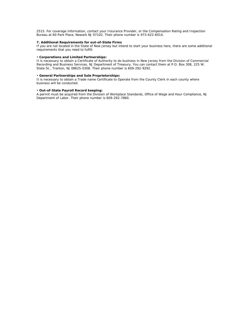2515. For coverage information, contact your Insurance Provider, or the Compensation Rating and Inspection Bureau at 60 Park Place, Newark NJ 07102. Their phone number is 973-622-6014.

#### **7. Additional Requirements for out-of-State Firms**

If you are not located in the State of New Jersey but intend to start your business here, there are some additional requirements that you need to fulfill:

#### • **Corporations and Limited Partnerships:**

It is necessary to obtain a Certificate of Authority to do business in New Jersey from the Division of Commercial Recording and Business Services, NJ Department of Treasury. You can contact them at P.O. Box 308, 225 W. State St., Trenton, NJ 08625-0308. Their phone number is 609-292-9292.

#### • **General Partnerships and Sole Proprietorships:**

It is necessary to obtain a Trade name Certificate to Operate from the County Clerk in each county where business will be conducted.

#### • **Out-of-State Payroll Record keeping:**

A permit must be acquired from the Division of Workplace Standards, Office of Wage and Hour Compliance, NJ Department of Labor. Their phone number is 609-292-7860.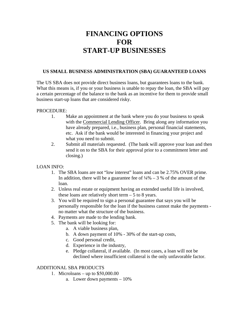# **FINANCING OPTIONS FOR START-UP BUSINESSES**

### **US SMALL BUSINESS ADMINISTRATION (SBA) GUARANTEED LOANS**

The US SBA does not provide direct business loans, but guarantees loans to the bank. What this means is, if you or your business is unable to repay the loan, the SBA will pay a certain percentage of the balance to the bank as an incentive for them to provide small business start-up loans that are considered risky.

### PROCEDURE:

- 1. Make an appointment at the bank where you do your business to speak with the Commercial Lending Officer. Bring along any information you have already prepared, i.e., business plan, personal financial statements, etc. Ask if the bank would be interested in financing your project and what you need to submit.
- 2. Submit all materials requested. (The bank will approve your loan and then send it on to the SBA for their approval prior to a commitment letter and closing.)

LOAN INFO:

- 1. The SBA loans are not "low interest" loans and can be 2.75% OVER prime. In addition, there will be a guarantee fee of  $\frac{1}{4}\% - 3\%$  of the amount of the loan.
- 2. Unless real estate or equipment having an extended useful life is involved, these loans are relatively short term  $-5$  to 8 years.
- 3. You will be required to sign a personal guarantee that says you will be personally responsible for the loan if the business cannot make the payments no matter what the structure of the business.
- 4. Payments are made to the lending bank.
- 5. The bank will be looking for:
	- a. A viable business plan,
	- b. A down payment of 10% 30% of the start-up costs,
	- c. Good personal credit,
	- d. Experience in the industry,
	- e. Pledge collateral, if available. (In most cases, a loan will not be declined where insufficient collateral is the only unfavorable factor.

### ADDITIONAL SBA PRODUCTS

- 1. Microloans up to \$50,000.00
	- a. Lower down payments 10%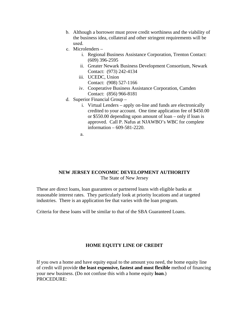- b. Although a borrower must prove credit worthiness and the viability of the business idea, collateral and other stringent requirements will be used.
- c. Microlenders
	- i. Regional Business Assistance Corporation, Trenton Contact: (609) 396-2595
	- ii. Greater Newark Business Development Consortium, Newark Contact: (973) 242-4134
	- iii. UCEDC, Union
		- Contact: (908) 527-1166
	- iv. Cooperative Business Assistance Corporation, Camden Contact: (856) 966-8181
- d. Superior Financial Group
	- i. Virtual Lenders apply on-line and funds are electronically credited to your account. One time application fee of \$450.00 or \$550.00 depending upon amount of loan – only if loan is approved. Call P. Nafus at NJAWBO's WBC for complete information – 609-581-2220.

a.

### **NEW JERSEY ECONOMIC DEVELOPMENT AUTHORITY**  The State of New Jersey

These are direct loans, loan guarantees or partnered loans with eligible banks at reasonable interest rates. They particularly look at priority locations and at targeted industries. There is an application fee that varies with the loan program.

Criteria for these loans will be similar to that of the SBA Guaranteed Loans.

### **HOME EQUITY LINE OF CREDIT**

If you own a home and have equity equal to the amount you need, the home equity line of credit will provide **the least expensive, fastest and most flexible** method of financing your new business. (Do not confuse this with a home equity **loan**.) PROCEDURE: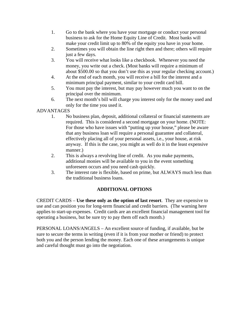- 1. Go to the bank where you have your mortgage or conduct your personal business to ask for the Home Equity Line of Credit. Most banks will make your credit limit up to 80% of the equity you have in your home.
- 2. Sometimes you will obtain the line right then and there; others will require just a few days.
- 3. You will receive what looks like a checkbook. Whenever you need the money, you write out a check. (Most banks will require a minimum of about \$500.00 so that you don't use this as your regular checking account.)
- 4. At the end of each month, you will receive a bill for the interest and a minimum principal payment, similar to your credit card bill.
- 5. You must pay the interest, but may pay however much you want to on the principal over the minimum.
- 6. The next month's bill will charge you interest only for the money used and only for the time you used it.

### ADVANTAGES

- 1. No business plan, deposit, additional collateral or financial statements are required. This is considered a second mortgage on your home. (NOTE: For those who have issues with "putting up your house," please be aware that any business loan will require a personal guarantee and collateral, effectively placing all of your personal assets, i.e., your house, at risk anyway. If this is the case, you might as well do it in the least expensive manner.)
- 2. This is always a revolving line of credit. As you make payments, additional monies will be available to you in the event something unforeseen occurs and you need cash quickly.
- 3. The interest rate is flexible, based on prime, but ALWAYS much less than the traditional business loans.

### **ADDITIONAL OPTIONS**

CREDIT CARDS – **Use these only as the option of last resort**. They are expensive to use and can position you for long-term financial and credit barriers. (The warning here applies to start-up expenses. Credit cards are an excellent financial management tool for operating a business, but be sure try to pay them off each month.)

PERSONAL LOANS/ANGELS – An excellent source of funding, if available, but be sure to secure the terms in writing (even if it is from your mother or friend) to protect both you and the person lending the money. Each one of these arrangements is unique and careful thought must go into the negotiation.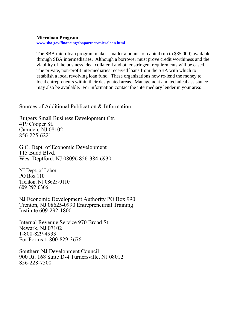### **Microloan Program**

**www.sba.gov/financing/sbapartner/microloan.html**

The SBA microloan program makes smaller amounts of capital (up to \$35,000) available through SBA intermediaries. Although a borrower must prove credit worthiness and the viability of the business idea, collateral and other stringent requirements will be eased. The private, non-profit intermediaries received loans from the SBA with which to establish a local revolving loan fund. These organizations now re-lend the money to local entrepreneurs within their designated areas. Management and technical assistance may also be available. For information contact the intermediary lender in your area:

### Sources of Additional Publication & Information

Rutgers Small Business Development Ctr. 419 Cooper St. Camden, NJ 08102 856-225-6221

G.C. Dept. of Economic Development 115 Budd Blvd. West Deptford, NJ 08096 856-384-6930

NJ Dept. of Labor PO Box 110 Trenton, NJ 08625-0110 609-292-0306

NJ Economic Development Authority PO Box 990 Trenton, NJ 08625-0990 Entrepreneurial Training Institute 609-292-1800

Internal Revenue Service 970 Broad St. Newark, NJ 07102 1-800-829-4933 For Forms 1-800-829-3676

Southern NJ Development Council 900 Rt. 168 Suite D-4 Turnersville, NJ 08012 856-228-7500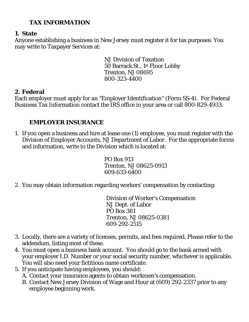# **TAX INFORMATION**

# **1. State**

Anyone establishing a business in New Jersey must register it for tax purposes. You may write to Taxpayer Services at:

> NJ Division of Taxation 50 Barrack St., 1st Floor Lobby Trenton, NJ 08695 800-323-4400

# **2. Federal**

Each employer must apply for an "Employer Identification" (Form SS-4). For Federal Business Tax Information contact the IRS office in your area or call 800-829-4933.

# **EMPLOYER INSURANCE**

1. If you open a business and hire at lease one (1) employee, you must register with the Division of Employer Accounts, NJ Department of Labor. For the appropriate forms and information, write to the Division which is located at:

> PO Box 913 Trenton, NJ 08625-0913 609-633-6400

2. You may obtain information regarding workers' compensation by contacting:

Division of Worker's Compensation NJ Dept. of Labor PO Box 381 Trenton, NJ 08625-0381 609-292-2515

- 3. Locally, there are a variety of licenses, permits, and fees required. Please refer to the addendum, listing most of these.
- 4. You must open a business bank account. You should go to the bank armed with your employer I.D. Number or your social security number, whichever is applicable. You will also need your fictitious name certificate.
- 5. If you anticipate having employees, you should:
	- A. Contact your insurance agents to obtain workmen's compensation.
	- B. Contact New Jersey Division of Wage and Hour at (609) 292-2337 prior to any employee beginning work.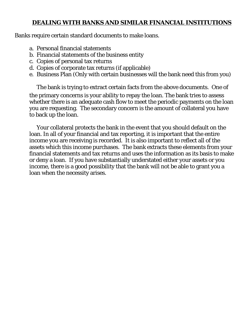# **DEALING WITH BANKS AND SIMILAR FINANCIAL INSTITUTIONS**

Banks require certain standard documents to make loans.

- a. Personal financial statements
- b. Financial statements of the business entity
- c. Copies of personal tax returns
- d. Copies of corporate tax returns (if applicable)
- e. Business Plan (Only with certain businesses will the bank need this from you)

The bank is trying to extract certain facts from the above documents. One of the primary concerns is your ability to repay the loan. The bank tries to assess whether there is an adequate cash flow to meet the periodic payments on the loan you are requesting. The secondary concern is the amount of collateral you have to back up the loan.

Your collateral protects the bank in the event that you should default on the loan. In all of your financial and tax reporting, it is important that the entire income you are receiving is recorded. It is also important to reflect all of the assets which this income purchases. The bank extracts these elements from your financial statements and tax returns and uses the information as its basis to make or deny a loan. If you have substantially understated either your assets or you income, there is a good possibility that the bank will not be able to grant you a loan when the necessity arises.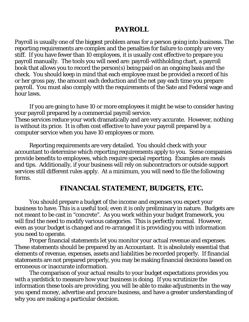# **PAYROLL**

Payroll is usually one of the biggest problem areas for a person going into business. The reporting requirements are complex and the penalties for failure to comply are very stiff. If you have fewer than 10 employees, it is usually cost effective to prepare you payroll manually. The tools you will need are: payroll-withholding chart, a payroll book that allows you to record the person(s) being paid on an ongoing basis and the check. You should keep in mind that each employee must be provided a record of his or her gross pay, the amount each deduction and the net pay each time you prepare payroll. You must also comply with the requirements of the Sate and Federal wage and hour laws.

If you are going to have 10 or more employees it might be wise to consider having your payroll prepared by a commercial payroll service. These services reduce your work dramatically and are very accurate. However, nothing is without its price. It is often cost effective to have your payroll prepared by a computer service when you have 10 employees or more.

Reporting requirements are very detailed. You should check with your accountant to determine which reporting requirements apply to you. Some companies provide benefits to employees, which require special reporting. Examples are meals and tips. Additionally, if your business will rely on subcontractors or outside support services still different rules apply. At a minimum, you will need to file the following forms.

# **FINANCIAL STATEMENT, BUDGETS, ETC.**

You should prepare a budget of the income and expenses you expect your business to have. This is a useful tool; even it is only preliminary in nature. Budgets are not meant to be cast in "concrete". As you work within your budget framework, you will find the need to modify various categories. This is perfectly normal. However, even as your budget is changed and re-arranged it is providing you with information you need to operate.

Proper financial statements let you monitor your actual revenue and expenses. These statements should be prepared by an Accountant. It is absolutely essential that elements of revenue, expenses, assets and liabilities be recorded properly. If financial statements are not prepared properly, you may be making financial decisions based on erroneous or inaccurate information.

The comparison of your actual results to your budget expectations provides you with a yardstick to measure how your business is doing. If you scrutinize the information these tools are providing, you will be able to make adjustments in the way you spend money, advertise and procure business, and have a greater understanding of why you are making a particular decision.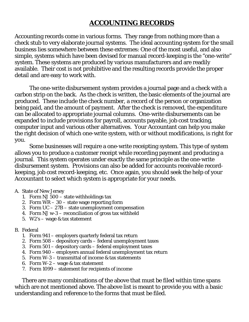# **ACCOUNTING RECORDS**

Accounting records come in various forms. They range from nothing more than a check stub to very elaborate journal systems. The ideal accounting system for the small business lies somewhere between these extremes: One of the most useful, and also simple, systems which have been devised for manual record-keeping is the "one-write" system. These systems are produced by various manufacturers and are readily available. Their cost is not prohibitive and the resulting records provide the proper detail and are easy to work with.

The one-write disbursement system provides a journal page and a check with a carbon strip on the back. As the check is written, the basic elements of the journal are produced. These include the check number, a record of the person or organization being paid, and the amount of payment. After the check is removed, the expenditure can be allocated to appropriate journal columns. One-write disbursements can be expanded to include provisions for payroll, accounts payable, job cost tracking, computer input and various other alternatives. Your Accountant can help you make the right decision of which one-write system, with or without modifications, is right for you.

Some businesses will require a one-write receipting system. This type of system allows you to produce a customer receipt while recording payment and producing a journal. This system operates under exactly the same principle as the one-write disbursement system. Provisions can also be added for accounts receivable recordkeeping, job cost record-keeping, etc. Once again, you should seek the help of your Accountant to select which system is appropriate for your needs.

### A. State of New Jersey

- 1. Form NJ 500 state withholdings tax
- 2. Form WR 30 state wage reporting form
- 3. Form UC 27B state unemployment compensation
- 4. Form NJ w-3 reconciliation of gross tax withheld
- 5. W2's wage & tax statement

### B. Federal

- 1. Form 941 employers quarterly federal tax return
- 2. Form 508 depository cards federal unemployment taxes
- 3. Form 501 depository cards federal employment taxes
- 4. Form 940 employers annual federal unemployment tax return
- 5. Form W-3 transmittal of income & tax statements
- 6. Form  $W-2$  wage & tax statement
- 7. Form 1099 statement for recipients of income

There are many combinations of the above that must be filed within time spans which are not mentioned above. The above list is meant to provide you with a basic understanding and reference to the forms that must be filed.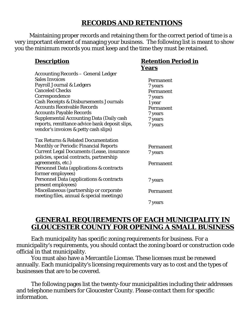# **RECORDS AND RETENTIONS**

**Retention Period in** 

**Years** 

Maintaining proper records and retaining them for the correct period of time is a very important element of managing your business. The following list is meant to show you the minimum records you must keep and the time they must be retained.

# **Description**

| <b>Accounting Records – General Ledger</b>                                                   |           |
|----------------------------------------------------------------------------------------------|-----------|
| <b>Sales Invoices</b>                                                                        | Permanent |
| Payroll Journal & Ledgers                                                                    | 7 years   |
| <b>Canceled Checks</b>                                                                       | Permanent |
| Correspondence                                                                               | 7 years   |
| <b>Cash Receipts &amp; Disbursements Journals</b>                                            | 1 year    |
| <b>Accounts Receivable Records</b>                                                           | Permanent |
| <b>Accounts Payable Records</b>                                                              | 7 years   |
| <b>Supplemental Accounting Data (Daily cash</b>                                              | 7 years   |
| reports, remittance advice bank deposit slips,<br>vendor's invoices & petty cash slips)      | 7 years   |
| <b>Tax Returns &amp; Related Documentation</b>                                               |           |
| <b>Monthly or Periodic Financial Reports</b>                                                 | Permanent |
| <b>Current Legal Documents (Lease, insurance</b><br>policies, special contracts, partnership | 7 years   |
| agreements, etc.)                                                                            | Permanent |
| Personnel Data (applications & contracts                                                     |           |
| former employees)                                                                            |           |
| Personnel Data (applications & contracts<br>present employees)                               | 7 years   |
| Miscellaneous (partnership or corporate<br>meeting files, annual & special meetings)         | Permanent |
|                                                                                              | 7 years   |

# **GENERAL REQUIREMENTS OF EACH MUNICIPALITY IN GLOUCESTER COUNTY FOR OPENING A SMALL BUSINESS**

Each municipality has specific zoning requirements for business. For a municipality's requirements, you should contact the zoning board or construction code official in that municipality.

You must also have a Mercantile License. These licenses must be renewed annually. Each municipality's licensing requirements vary as to cost and the types of businesses that are to be covered.

The following pages list the twenty-four municipalities including their addresses and telephone numbers for Gloucester County. Please contact them for specific information.